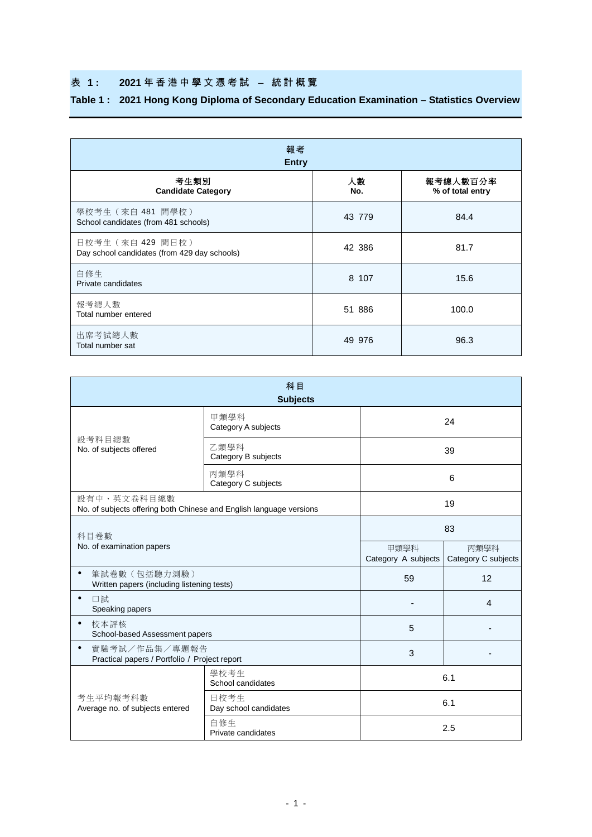## 表 **1 : 2021** 年香港中學 文 憑 考 試 – 統計概覽

## **Table 1 : 2021 Hong Kong Diploma of Secondary Education Examination – Statistics Overview**

| 報考<br><b>Entry</b>                                                |           |                              |  |  |  |  |  |  |  |  |
|-------------------------------------------------------------------|-----------|------------------------------|--|--|--|--|--|--|--|--|
| 考生類別<br><b>Candidate Category</b>                                 | 人數<br>No. | 報考總人數百分率<br>% of total entry |  |  |  |  |  |  |  |  |
| 學校考生 (來自 481 間學校)<br>School candidates (from 481 schools)         | 43 779    | 84.4                         |  |  |  |  |  |  |  |  |
| 日校考生 (來自 429 間日校)<br>Day school candidates (from 429 day schools) | 42 386    | 81.7                         |  |  |  |  |  |  |  |  |
| 白修生<br>Private candidates                                         | 8 107     | 15.6                         |  |  |  |  |  |  |  |  |
| 報考總人數<br>Total number entered                                     | 51 886    | 100.0                        |  |  |  |  |  |  |  |  |
| 出席考試總人數<br>Total number sat                                       | 49 976    | 96.3                         |  |  |  |  |  |  |  |  |

|                                                                                    | 科目<br><b>Subjects</b>         |                             |                             |  |
|------------------------------------------------------------------------------------|-------------------------------|-----------------------------|-----------------------------|--|
|                                                                                    | 甲類學科<br>Category A subjects   | 24                          |                             |  |
| 設考科目總數<br>No. of subjects offered                                                  | 乙類學科<br>Category B subjects   | 39                          |                             |  |
|                                                                                    | 丙類學科<br>Category C subjects   |                             | 6                           |  |
| 設有中、英文卷科目總數<br>No. of subjects offering both Chinese and English language versions |                               | 19                          |                             |  |
| 科目卷數                                                                               | 83                            |                             |                             |  |
| No. of examination papers                                                          |                               | 甲類學科<br>Category A subjects | 丙類學科<br>Category C subjects |  |
| $\bullet$<br>筆試卷數 (包括聽力測驗)<br>Written papers (including listening tests)           |                               | 59                          | 12                          |  |
| 口試<br>$\bullet$<br>Speaking papers                                                 |                               |                             | 4                           |  |
| $\bullet$<br>校本評核<br>School-based Assessment papers                                |                               | 5                           |                             |  |
| 實驗考試/作品集/專題報告<br>$\bullet$<br>Practical papers / Portfolio / Project report        |                               | 3                           |                             |  |
|                                                                                    | 學校考生<br>School candidates     | 6.1                         |                             |  |
| 考生平均報考科數<br>Average no. of subjects entered                                        | 日校考生<br>Day school candidates |                             | 6.1                         |  |
|                                                                                    | 自修生<br>Private candidates     | 2.5                         |                             |  |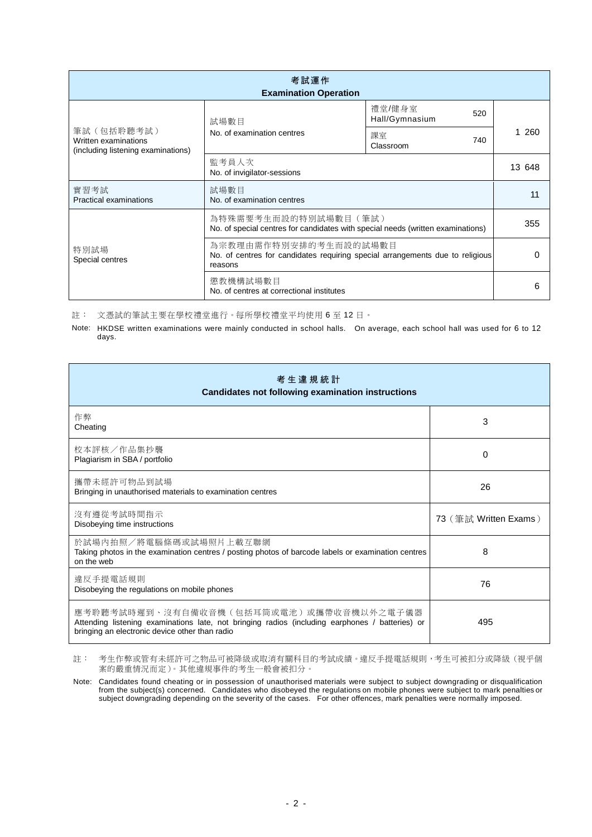| 考試運作<br><b>Examination Operation</b>                                      |                                                                                                                   |                                 |     |  |  |  |  |  |  |
|---------------------------------------------------------------------------|-------------------------------------------------------------------------------------------------------------------|---------------------------------|-----|--|--|--|--|--|--|
|                                                                           | 試場數目                                                                                                              | 禮堂/健身室<br>520<br>Hall/Gymnasium |     |  |  |  |  |  |  |
| 筆試 (包括聆聽考試)<br>Written examinations<br>(including listening examinations) | No. of examination centres                                                                                        | 課室<br>740<br>Classroom          | 260 |  |  |  |  |  |  |
|                                                                           | 監考員人次<br>No. of invigilator-sessions                                                                              | 13 648                          |     |  |  |  |  |  |  |
| 實習考試<br>Practical examinations                                            | 試場數目<br>No. of examination centres                                                                                | 11                              |     |  |  |  |  |  |  |
|                                                                           | 為特殊需要考生而設的特別試場數目(筆試)<br>No. of special centres for candidates with special needs (written examinations)           | 355                             |     |  |  |  |  |  |  |
| 特別試場<br>Special centres                                                   | 為宗教理由需作特別安排的考生而設的試場數目<br>No. of centres for candidates requiring special arrangements due to religious<br>reasons | O                               |     |  |  |  |  |  |  |
|                                                                           | 懲教機構試場數目<br>No. of centres at correctional institutes                                                             | 6                               |     |  |  |  |  |  |  |

註: 文憑試的筆試主要在學校禮堂進行。每所學校禮堂平均使用 6 至 12 日。

Note: HKDSE written examinations were mainly conducted in school halls. On average, each school hall was used for 6 to 12 days.

| 考 生 違 規 統 計<br><b>Candidates not following examination instructions</b>                                                                                                                      |                       |  |  |  |  |  |  |  |
|----------------------------------------------------------------------------------------------------------------------------------------------------------------------------------------------|-----------------------|--|--|--|--|--|--|--|
| 作弊<br>Cheating                                                                                                                                                                               | 3                     |  |  |  |  |  |  |  |
| 校本評核/作品集抄襲<br>Plagiarism in SBA / portfolio                                                                                                                                                  | 0                     |  |  |  |  |  |  |  |
| 攜帶未經許可物品到試場<br>Bringing in unauthorised materials to examination centres                                                                                                                     | 26                    |  |  |  |  |  |  |  |
| 沒有遵從考試時間指示<br>Disobeying time instructions                                                                                                                                                   | 73 (筆試 Written Exams) |  |  |  |  |  |  |  |
| 於試場內拍照/將電腦條碼或試場照片上載互聯網<br>Taking photos in the examination centres / posting photos of barcode labels or examination centres<br>on the web                                                   | 8                     |  |  |  |  |  |  |  |
| 違反手提電話規則<br>Disobeying the regulations on mobile phones                                                                                                                                      | 76                    |  |  |  |  |  |  |  |
| 應考聆聽考試時遲到、沒有自備收音機(包括耳筒或電池)或攜帶收音機以外之電子儀器<br>Attending listening examinations late, not bringing radios (including earphones / batteries) or<br>bringing an electronic device other than radio | 495                   |  |  |  |  |  |  |  |

註: 考生作弊或管有未經許可之物品可被降級或取消有關科目的考試成績。違反手提電話規則,考生可被扣分或降級(視乎個 案的嚴重情況而定)。其他違規事件的考生一般會被扣分。

Note: Candidates found cheating or in possession of unauthorised materials were subject to subject downgrading or disqualification from the subject(s) concerned. Candidates who disobeyed the regulations on mobile phones were subject to mark penalties or subject downgrading depending on the severity of the cases. For other offences, mark penalties were normally imposed.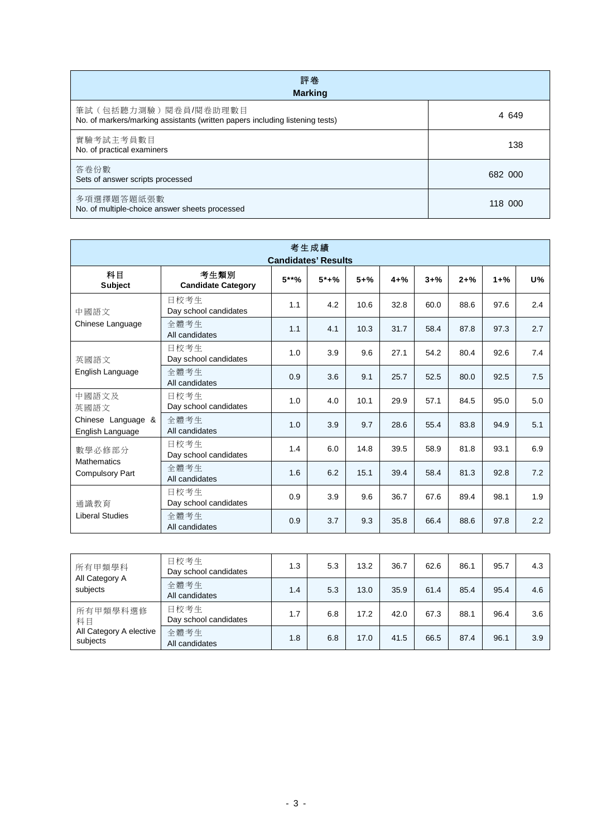| 評卷<br><b>Marking</b>                                                                                 |         |  |  |  |  |  |  |  |
|------------------------------------------------------------------------------------------------------|---------|--|--|--|--|--|--|--|
| 筆試(包括聽力測驗)閱卷員/閱卷助理數目<br>No. of markers/marking assistants (written papers including listening tests) | 4 649   |  |  |  |  |  |  |  |
| 實驗考試主考員數目<br>No. of practical examiners                                                              | 138     |  |  |  |  |  |  |  |
| 答卷份數<br>Sets of answer scripts processed                                                             | 682 000 |  |  |  |  |  |  |  |
| 多項選擇題答題紙張數<br>No. of multiple-choice answer sheets processed                                         | 118 000 |  |  |  |  |  |  |  |

| 考生成績<br><b>Candidates' Results</b>           |                                                                                                                          |     |     |      |      |      |      |      |     |  |  |  |
|----------------------------------------------|--------------------------------------------------------------------------------------------------------------------------|-----|-----|------|------|------|------|------|-----|--|--|--|
| 科目<br><b>Subject</b>                         | 考生類別<br>$5***%$<br>$5*+%$<br>$5 + \%$<br>U%<br>$4 + \%$<br>$3 + \%$<br>$2 + \%$<br>$1 + \%$<br><b>Candidate Category</b> |     |     |      |      |      |      |      |     |  |  |  |
| 中國語文                                         | 日校考生<br>Day school candidates                                                                                            | 1.1 | 4.2 | 10.6 | 32.8 | 60.0 | 88.6 | 97.6 | 2.4 |  |  |  |
| Chinese Language                             | 全體考生<br>All candidates                                                                                                   | 1.1 | 4.1 | 10.3 | 31.7 | 58.4 | 87.8 | 97.3 | 2.7 |  |  |  |
| 英國語文                                         | 日校考生<br>Day school candidates                                                                                            | 1.0 | 3.9 | 9.6  | 27.1 | 54.2 | 80.4 | 92.6 | 7.4 |  |  |  |
| English Language                             | 全體考生<br>All candidates                                                                                                   | 0.9 | 3.6 | 9.1  | 25.7 | 52.5 | 80.0 | 92.5 | 7.5 |  |  |  |
| 中國語文及<br>英國語文                                | 日校考生<br>Day school candidates                                                                                            | 1.0 | 4.0 | 10.1 | 29.9 | 57.1 | 84.5 | 95.0 | 5.0 |  |  |  |
| Chinese Language &<br>English Language       | 全體考生<br>All candidates                                                                                                   | 1.0 | 3.9 | 9.7  | 28.6 | 55.4 | 83.8 | 94.9 | 5.1 |  |  |  |
| 數學必修部分                                       | 日校考生<br>Day school candidates                                                                                            | 1.4 | 6.0 | 14.8 | 39.5 | 58.9 | 81.8 | 93.1 | 6.9 |  |  |  |
| <b>Mathematics</b><br><b>Compulsory Part</b> | 全體考生<br>All candidates                                                                                                   | 1.6 | 6.2 | 15.1 | 39.4 | 58.4 | 81.3 | 92.8 | 7.2 |  |  |  |
| 通識教育                                         | 日校考生<br>Day school candidates                                                                                            | 0.9 | 3.9 | 9.6  | 36.7 | 67.6 | 89.4 | 98.1 | 1.9 |  |  |  |
| <b>Liberal Studies</b>                       | 全體考生<br>All candidates                                                                                                   | 0.9 | 3.7 | 9.3  | 35.8 | 66.4 | 88.6 | 97.8 | 2.2 |  |  |  |
|                                              |                                                                                                                          |     |     |      |      |      |      |      |     |  |  |  |

| 所有甲類學科<br>All Category A<br>subjects | 日校考生<br>Day school candidates | 1.3 | 5.3 | 13.2 | 36.7 | 62.6 | 86.1 | 95.7 | 4.3 |
|--------------------------------------|-------------------------------|-----|-----|------|------|------|------|------|-----|
|                                      | 全體考生<br>All candidates        | 1.4 | 5.3 | 13.0 | 35.9 | 61.4 | 85.4 | 95.4 | 4.6 |
| 所有甲類學科選修<br>科目                       | 日校考生<br>Day school candidates | 1.7 | 6.8 | 17.2 | 42.0 | 67.3 | 88.1 | 96.4 | 3.6 |
| All Category A elective<br>subjects  | 全體考生<br>All candidates        | 1.8 | 6.8 | 17.0 | 41.5 | 66.5 | 87.4 | 96.1 | 3.9 |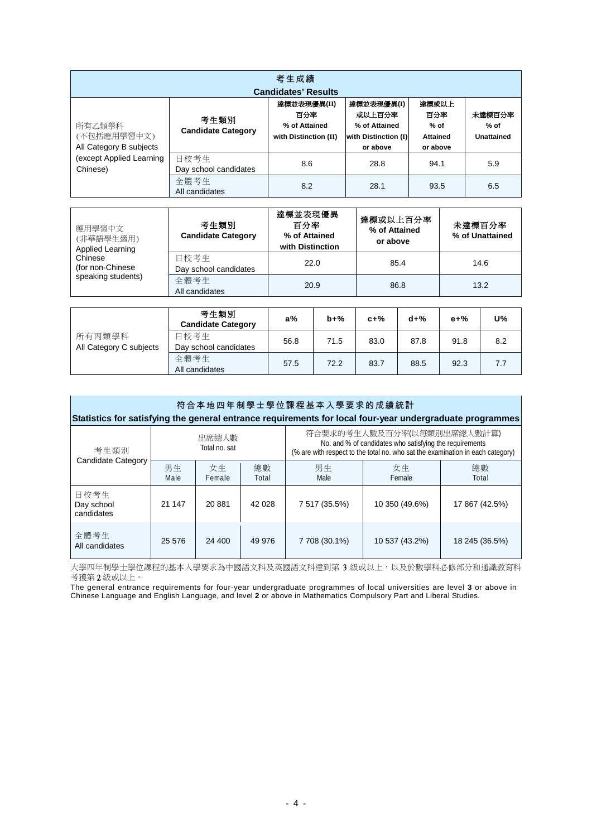| 考生成績<br><b>Candidates' Results</b>               |                                   |                                                              |                                                                           |                                                       |                                |  |  |  |  |  |
|--------------------------------------------------|-----------------------------------|--------------------------------------------------------------|---------------------------------------------------------------------------|-------------------------------------------------------|--------------------------------|--|--|--|--|--|
| 所有乙類學科<br>(不包括應用學習中文)<br>All Category B subjects | 考生類別<br><b>Candidate Category</b> | 達標並表現優異(II)<br>百分率<br>% of Attained<br>with Distinction (II) | 達標並表現優異(I)<br>或以上百分率<br>% of Attained<br>with Distinction (I)<br>or above | 達標或以上<br>百分率<br>$%$ of<br><b>Attained</b><br>or above | 未達標百分率<br>$%$ of<br>Unattained |  |  |  |  |  |
| (except Applied Learning<br>Chinese)             | 日校考生<br>Day school candidates     | 8.6                                                          | 28.8                                                                      | 94.1                                                  | 5.9                            |  |  |  |  |  |
|                                                  | 全體考生<br>All candidates            | 8.2                                                          | 28.1                                                                      | 93.5                                                  | 6.5                            |  |  |  |  |  |

| 應用學習中文<br>(非華語學生適用)<br><b>Applied Learning</b>                                                                                                                                                                                                                                                                                                                                                                                            | 考生類別<br><b>Candidate Category</b>          | 達標並表現優異<br>達標或以上百分率<br>百分率<br>% of Attained<br>% of Attained<br>or above<br>with Distinction |       | 未達標百分率<br>% of Unattained |       |          |    |
|-------------------------------------------------------------------------------------------------------------------------------------------------------------------------------------------------------------------------------------------------------------------------------------------------------------------------------------------------------------------------------------------------------------------------------------------|--------------------------------------------|----------------------------------------------------------------------------------------------|-------|---------------------------|-------|----------|----|
| Chinese<br>(for non-Chinese)                                                                                                                                                                                                                                                                                                                                                                                                              | 日校考生<br>Day school candidates              | 22.0                                                                                         |       | 85.4                      |       | 14.6     |    |
| speaking students)                                                                                                                                                                                                                                                                                                                                                                                                                        | 全體考生<br>All candidates                     | 20.9                                                                                         |       | 86.8                      |       | 13.2     |    |
|                                                                                                                                                                                                                                                                                                                                                                                                                                           |                                            |                                                                                              |       |                           |       |          |    |
|                                                                                                                                                                                                                                                                                                                                                                                                                                           | 考生類別<br><b>Candidate Category</b>          | a%                                                                                           | $b+%$ | $c+%$                     | $d+%$ | $e + \%$ | U% |
| $\mathcal{L}^{\mathcal{L}}\mathcal{L}^{\mathcal{L}}\mathcal{L}^{\mathcal{L}}\mathcal{L}^{\mathcal{L}}\mathcal{L}^{\mathcal{L}}\mathcal{L}^{\mathcal{L}}\mathcal{L}^{\mathcal{L}}\mathcal{L}^{\mathcal{L}}\mathcal{L}^{\mathcal{L}}\mathcal{L}^{\mathcal{L}}\mathcal{L}^{\mathcal{L}}\mathcal{L}^{\mathcal{L}}\mathcal{L}^{\mathcal{L}}\mathcal{L}^{\mathcal{L}}\mathcal{L}^{\mathcal{L}}\mathcal{L}^{\mathcal{L}}\mathcal{L}^{\mathcal{L$ | $ \rightarrow$ $\rightarrow$ $\rightarrow$ |                                                                                              |       |                           |       |          |    |

|                         | <b>Candidate Category</b> | . . <i>.</i> . | .    | <b>v</b> 1 / U | <b>MI/U</b> |      |     |
|-------------------------|---------------------------|----------------|------|----------------|-------------|------|-----|
| 所有丙類學科                  | 日校考生                      | 56.8           | 71.5 | 83.0           | 87.8        | 91.8 | 8.2 |
| All Category C subjects | Day school candidates     |                |      |                |             |      |     |
|                         | 全體考生<br>All candidates    | 57.5           | 72.2 | 83.7           | 88.5        | 92.3 | 7.7 |

| 符合本地四年制學士學位課程基本入學要求的成績統計<br>Statistics for satisfying the general entrance requirements for local four-year undergraduate programmes |            |                        |             |                                                                                                                                                                         |                |                |  |  |  |  |
|--------------------------------------------------------------------------------------------------------------------------------------|------------|------------------------|-------------|-------------------------------------------------------------------------------------------------------------------------------------------------------------------------|----------------|----------------|--|--|--|--|
| 考生類別                                                                                                                                 |            | 出席總人數<br>Total no. sat |             | 符合要求的考生人數及百分率(以每類別出席總人數計算)<br>No. and % of candidates who satisfying the requirements<br>(% are with respect to the total no. who sat the examination in each category) |                |                |  |  |  |  |
| <b>Candidate Category</b>                                                                                                            | 男生<br>Male | 女生<br>Female           | 總數<br>Total | 男生<br>Male                                                                                                                                                              | 女生<br>Female   | 總數<br>Total    |  |  |  |  |
| 日校考生<br>Day school<br>candidates                                                                                                     | 21 147     | 20881                  | 42 0 28     | 7 517 (35.5%)                                                                                                                                                           | 10 350 (49.6%) | 17 867 (42.5%) |  |  |  |  |
| 全體考生<br>All candidates                                                                                                               | 25 576     | 24 400                 | 49 976      | 7 708 (30.1%)                                                                                                                                                           | 10 537 (43.2%) | 18 245 (36.5%) |  |  |  |  |

大學四年制學士學位課程的基本入學要求為中國語文科及英國語文科達到第 3 級或以上,以及於數學科必修部分和通識教育科 考獲第 2 級或以上。

The general entrance requirements for four-year undergraduate programmes of local universities are level **3** or above in Chinese Language and English Language, and level **2** or above in Mathematics Compulsory Part and Liberal Studies.